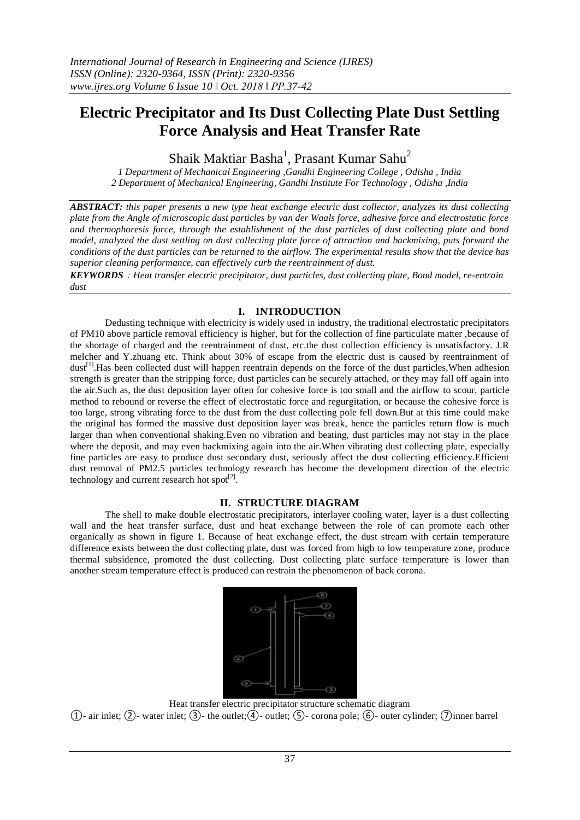# **Electric Precipitator and Its Dust Collecting Plate Dust Settling Force Analysis and Heat Transfer Rate**

Shaik Maktiar Basha<sup>1</sup>, Prasant Kumar Sahu<sup>2</sup>

*1 Department of Mechanical Engineering ,Gandhi Engineering College , Odisha , India 2 Department of Mechanical Engineering, Gandhi Institute For Technology , Odisha ,India*

*ABSTRACT: this paper presents a new type heat exchange electric dust collector, analyzes its dust collecting plate from the Angle of microscopic dust particles by van der Waals force, adhesive force and electrostatic force and thermophoresis force, through the establishment of the dust particles of dust collecting plate and bond model, analyzed the dust settling on dust collecting plate force of attraction and backmixing, puts forward the conditions of the dust particles can be returned to the airflow. The experimental results show that the device has superior cleaning performance, can effectively curb the reentrainment of dust.*

*KEYWORDS*:*Heat transfer electric precipitator, dust particles, dust collecting plate, Bond model, re-entrain dust*

# **I. INTRODUCTION**

Dedusting technique with electricity is widely used in industry, the traditional electrostatic precipitators of PM10 above particle removal efficiency is higher, but for the collection of fine particulate matter ,because of the shortage of charged and the reentrainment of dust, etc.the dust collection efficiency is unsatisfactory. J.R melcher and Y.zhuang etc. Think about 30% of escape from the electric dust is caused by reentrainment of dust<sup>[1]</sup>.Has been collected dust will happen reentrain depends on the force of the dust particles, When adhesion strength is greater than the stripping force, dust particles can be securely attached, or they may fall off again into the air.Such as, the dust deposition layer often for cohesive force is too small and the airflow to scour, particle method to rebound or reverse the effect of electrostatic force and regurgitation, or because the cohesive force is too large, strong vibrating force to the dust from the dust collecting pole fell down.But at this time could make the original has formed the massive dust deposition layer was break, hence the particles return flow is much larger than when conventional shaking.Even no vibration and beating, dust particles may not stay in the place where the deposit, and may even backmixing again into the air. When vibrating dust collecting plate, especially fine particles are easy to produce dust secondary dust, seriously affect the dust collecting efficiency.Efficient dust removal of PM2.5 particles technology research has become the development direction of the electric technology and current research hot spot $^{[2]}$ .

# **II. STRUCTURE DIAGRAM**

The shell to make double electrostatic precipitators, interlayer cooling water, layer is a dust collecting wall and the heat transfer surface, dust and heat exchange between the role of can promote each other organically as shown in figure 1. Because of heat exchange effect, the dust stream with certain temperature difference exists between the dust collecting plate, dust was forced from high to low temperature zone, produce thermal subsidence, promoted the dust collecting. Dust collecting plate surface temperature is lower than another stream temperature effect is produced can restrain the phenomenon of back corona.



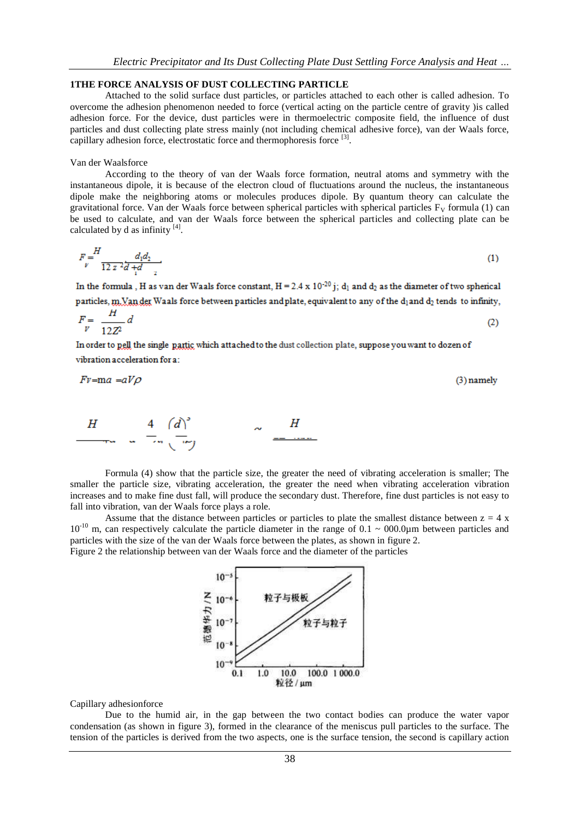#### **1THE FORCE ANALYSIS OF DUST COLLECTING PARTICLE**

Attached to the solid surface dust particles, or particles attached to each other is called adhesion. To overcome the adhesion phenomenon needed to force (vertical acting on the particle centre of gravity )is called adhesion force. For the device, dust particles were in thermoelectric composite field, the influence of dust particles and dust collecting plate stress mainly (not including chemical adhesive force), van der Waals force, capillary adhesion force, electrostatic force and thermophoresis force <sup>[3]</sup>.

#### Van der Waalsforce

According to the theory of van der Waals force formation, neutral atoms and symmetry with the instantaneous dipole, it is because of the electron cloud of fluctuations around the nucleus, the instantaneous dipole make the neighboring atoms or molecules produces dipole. By quantum theory can calculate the gravitational force. Van der Waals force between spherical particles with spherical particles  $F_V$  formula (1) can be used to calculate, and van der Waals force between the spherical particles and collecting plate can be calculated by d as infinity  $^{[4]}$ .

$$
F = \frac{H}{12 z^2 d + d}
$$
 (1)

In the formula , H as van der Waals force constant,  $H = 2.4 \times 10^{-20}$  j; d<sub>1</sub> and d<sub>2</sub> as the diameter of two spherical particles, m. Van der Waals force between particles and plate, equivalent to any of the  $d_1$  and  $d_2$  tends to infinity,

$$
F = \frac{H}{12Z^2} d \tag{2}
$$

In order to pell the single partic which attached to the dust collection plate, suppose you want to dozen of vibration acceleration for a:

$$
Fv = ma = aV\rho
$$
 (3) namely

$$
\begin{array}{ccccccccc}\nH & & & 4 & (d)^2 & & & & H \\
\hline\n\end{array}
$$

Formula (4) show that the particle size, the greater the need of vibrating acceleration is smaller; The smaller the particle size, vibrating acceleration, the greater the need when vibrating acceleration vibration increases and to make fine dust fall, will produce the secondary dust. Therefore, fine dust particles is not easy to fall into vibration, van der Waals force plays a role.

Assume that the distance between particles or particles to plate the smallest distance between  $z = 4 x$  $10^{-10}$  m, can respectively calculate the particle diameter in the range of 0.1 ~ 000.0µm between particles and particles with the size of the van der Waals force between the plates, as shown in figure 2. Figure 2 the relationship between van der Waals force and the diameter of the particles



#### Capillary adhesionforce

Due to the humid air, in the gap between the two contact bodies can produce the water vapor condensation (as shown in figure 3), formed in the clearance of the meniscus pull particles to the surface. The tension of the particles is derived from the two aspects, one is the surface tension, the second is capillary action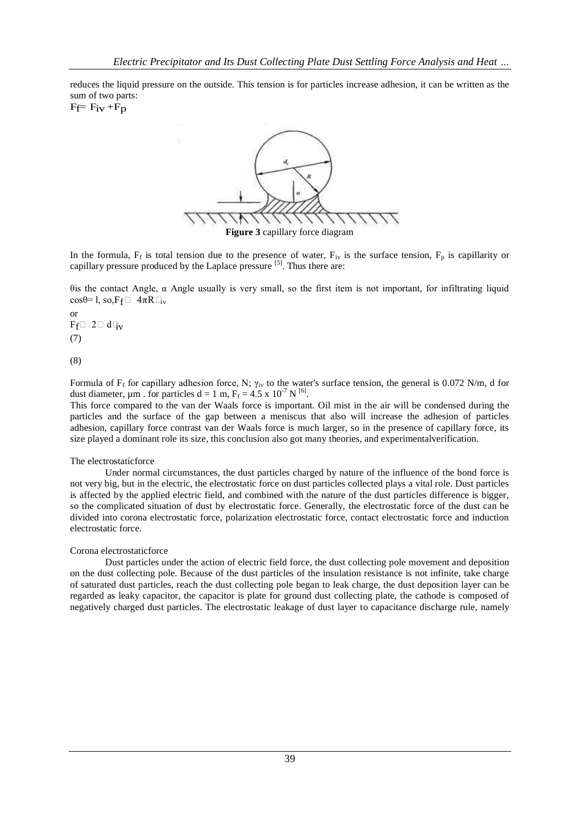reduces the liquid pressure on the outside. This tension is for particles increase adhesion, it can be written as the sum of two parts:

 $F_f = F_{iv} + F_p$ 



**Figure 3** capillary force diagram

In the formula,  $F_f$  is total tension due to the presence of water,  $F_{iv}$  is the surface tension,  $F_p$  is capillarity or capillary pressure produced by the Laplace pressure <sup>[5]</sup>. Thus there are:

θis the contact Angle, α Angle usually is very small, so the first item is not important, for infiltrating liquid cosθ= l, so,  $F_f \Box 4\pi R \Box_v$ 

or  $F_f \Box 2 \Box d \Box_V$ (7)

(8)

Formula of F<sub>f</sub> for capillary adhesion force, N; γ<sub>iv</sub> to the water's surface tension, the general is 0.072 N/m, d for dust diameter,  $\mu$ m. for particles d = 1 m,  $F_f = 4.5 \times 10^{-7} N^{6}$ .

This force compared to the van der Waals force is important. Oil mist in the air will be condensed during the particles and the surface of the gap between a meniscus that also will increase the adhesion of particles adhesion, capillary force contrast van der Waals force is much larger, so in the presence of capillary force, its size played a dominant role its size, this conclusion also got many theories, and experimentalverification.

## The electrostaticforce

Under normal circumstances, the dust particles charged by nature of the influence of the bond force is not very big, but in the electric, the electrostatic force on dust particles collected plays a vital role. Dust particles is affected by the applied electric field, and combined with the nature of the dust particles difference is bigger, so the complicated situation of dust by electrostatic force. Generally, the electrostatic force of the dust can be divided into corona electrostatic force, polarization electrostatic force, contact electrostatic force and induction electrostatic force.

#### Corona electrostaticforce

Dust particles under the action of electric field force, the dust collecting pole movement and deposition on the dust collecting pole. Because of the dust particles of the insulation resistance is not infinite, take charge of saturated dust particles, reach the dust collecting pole began to leak charge, the dust deposition layer can be regarded as leaky capacitor, the capacitor is plate for ground dust collecting plate, the cathode is composed of negatively charged dust particles. The electrostatic leakage of dust layer to capacitance discharge rule, namely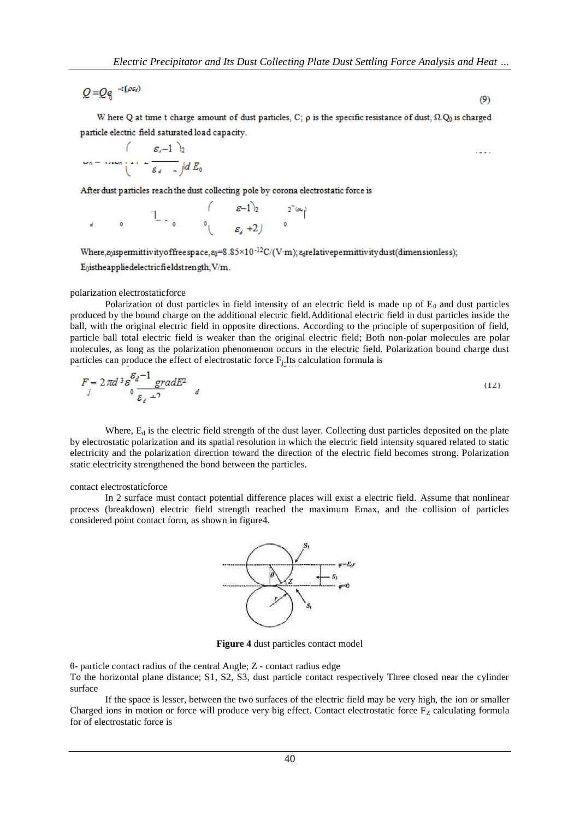$$
Q = Q_{\theta}^{-t(\rho s_i)}
$$

W here Q at time t charge amount of dust particles, C;  $\rho$  is the specific resistance of dust,  $\Omega$ . $Q_0$  is charged particle electric field saturated load capacity.

$$
\mathcal{L}_0 = \text{mean} \left( 1 + \frac{\varepsilon_1 - 1}{\varepsilon_4} \right) \frac{1}{\varepsilon_1} dE_0
$$

After dust particles reach the dust collecting pole by corona electrostatic force is

$$
e \qquad 0 \qquad 1 \qquad 0 \qquad \begin{array}{c} \begin{array}{c} \begin{array}{c} \epsilon-1 \\ \epsilon \end{array} & 0 \end{array} & \begin{array}{c} \epsilon-1 \\ \epsilon \end{array} & \begin{array}{c} 0 \\ \epsilon \end{array} & \end{array} \end{array}
$$

Where, goispermittivity of free space,  $g_0 = 8.85 \times 10^{-12}$  C/(V·m);  $g_0$ relative permittivity dust(dimensionless);

E<sub>0</sub>istheappliedelectricfieldstrength, V/m.

## polarization electrostaticforce

Polarization of dust particles in field intensity of an electric field is made up of  $E_0$  and dust particles produced by the bound charge on the additional electric field.Additional electric field in dust particles inside the ball, with the original electric field in opposite directions. According to the principle of superposition of field, particle ball total electric field is weaker than the original electric field; Both non-polar molecules are polar molecules, as long as the polarization phenomenon occurs in the electric field. Polarization bound charge dust particles can produce the effect of electrostatic force F<sub>j</sub>.Its calculation formula is

$$
F = 2\pi d^3 \varepsilon \frac{\varepsilon_d - 1}{\varepsilon_d + 2} \frac{\varepsilon_d}{\varepsilon_d}
$$
 (12)

Where,  $E_d$  is the electric field strength of the dust layer. Collecting dust particles deposited on the plate by electrostatic polarization and its spatial resolution in which the electric field intensity squared related to static electricity and the polarization direction toward the direction of the electric field becomes strong. Polarization static electricity strengthened the bond between the particles.

### contact electrostaticforce

In 2 surface must contact potential difference places will exist a electric field. Assume that nonlinear process (breakdown) electric field strength reached the maximum Emax, and the collision of particles considered point contact form, as shown in figure4.



**Figure 4** dust particles contact model

θ- particle contact radius of the central Angle; Z - contact radius edge

To the horizontal plane distance; S1, S2, S3, dust particle contact respectively Three closed near the cylinder surface

If the space is lesser, between the two surfaces of the electric field may be very high, the ion or smaller Charged ions in motion or force will produce very big effect. Contact electrostatic force  $F<sub>Z</sub>$  calculating formula for of electrostatic force is

 $(9)$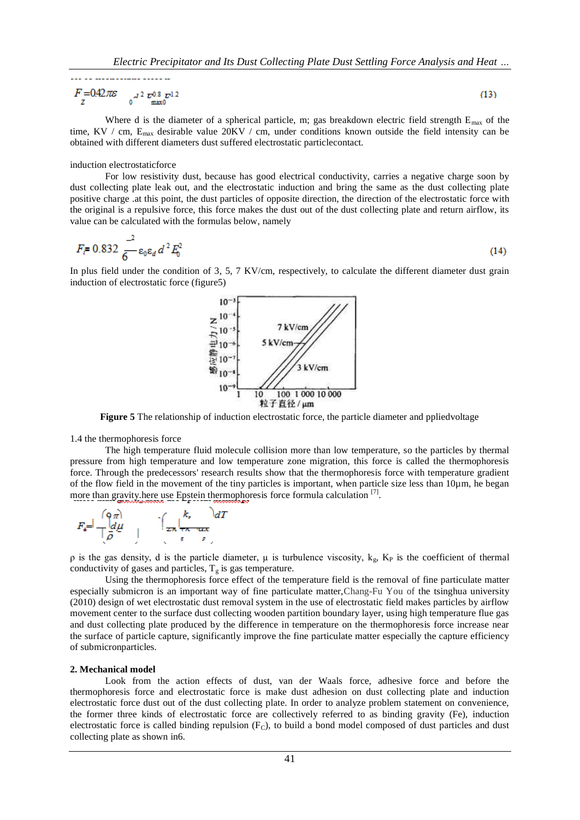$$
F = 0.42 \pi \varepsilon \int_{\frac{1}{2}}^{\frac{1}{2}} \frac{1}{2} \int_{\frac{\pi x}{2}}^{\frac{1}{2}} \frac{1}{2} \, dx \tag{13}
$$

Where d is the diameter of a spherical particle, m; gas breakdown electric field strength  $E_{\text{max}}$  of the time, KV / cm, E<sub>max</sub> desirable value 20KV / cm, under conditions known outside the field intensity can be obtained with different diameters dust suffered electrostatic particlecontact.

#### induction electrostaticforce

For low resistivity dust, because has good electrical conductivity, carries a negative charge soon by dust collecting plate leak out, and the electrostatic induction and bring the same as the dust collecting plate positive charge .at this point, the dust particles of opposite direction, the direction of the electrostatic force with the original is a repulsive force, this force makes the dust out of the dust collecting plate and return airflow, its value can be calculated with the formulas below, namely

$$
F_{\vec{i}} = 0.832 \frac{1}{6} \varepsilon_0 \varepsilon_d d^2 E_0^2 \tag{14}
$$

In plus field under the condition of 3, 5, 7 KV/cm, respectively, to calculate the different diameter dust grain induction of electrostatic force (figure5)



**Figure 5** The relationship of induction electrostatic force, the particle diameter and ppliedvoltage

1.4 the thermophoresis force

The high temperature fluid molecule collision more than low temperature, so the particles by thermal pressure from high temperature and low temperature zone migration, this force is called the thermophoresis force. Through the predecessors' research results show that the thermophoresis force with temperature gradient of the flow field in the movement of the tiny particles is important, when particle size less than 10µm, he began more than gravity here use Epstein thermophoresis force formula calculation <sup>[7]</sup>.

$$
F_{s} = \frac{\binom{Q \pi}{d \mu}}{\left(\frac{1}{\rho}\right)^{d \mu}} \qquad \int_{\mathcal{Z}} \frac{k_{s}}{\left(\frac{1}{\rho_{s}} - \frac{1}{\rho_{s}}\right)} dT
$$

 $ρ$  is the gas density, d is the particle diameter,  $μ$  is turbulence viscosity,  $k_g$ ,  $K_p$  is the coefficient of thermal conductivity of gases and particles,  $T_g$  is gas temperature.

Using the thermophoresis force effect of the temperature field is the removal of fine particulate matter especially submicron is an important way of fine particulate matter,Chang-Fu You of the tsinghua university (2010) design of wet electrostatic dust removal system in the use of electrostatic field makes particles by airflow movement center to the surface dust collecting wooden partition boundary layer, using high temperature flue gas and dust collecting plate produced by the difference in temperature on the thermophoresis force increase near the surface of particle capture, significantly improve the fine particulate matter especially the capture efficiency of submicronparticles.

#### **2. Mechanical model**

Look from the action effects of dust, van der Waals force, adhesive force and before the thermophoresis force and electrostatic force is make dust adhesion on dust collecting plate and induction electrostatic force dust out of the dust collecting plate. In order to analyze problem statement on convenience, the former three kinds of electrostatic force are collectively referred to as binding gravity (Fe), induction electrostatic force is called binding repulsion  $(F<sub>C</sub>)$ , to build a bond model composed of dust particles and dust collecting plate as shown in6.